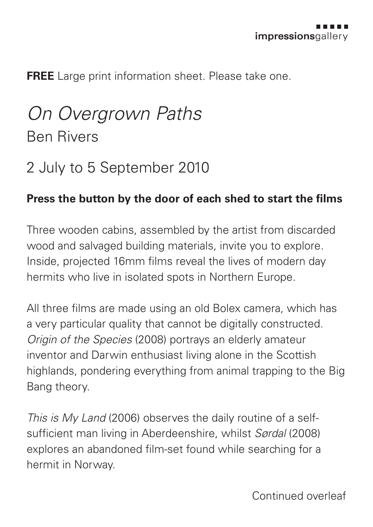**FREE** Large print information sheet. Please take one.

## *On Overgrown Paths* Ben Rivers

## 2 July to 5 September 2010

## **Press the button by the door of each shed to start the films**

Three wooden cabins, assembled by the artist from discarded wood and salvaged building materials, invite you to explore. Inside, projected 16mm films reveal the lives of modern day hermits who live in isolated spots in Northern Europe.

All three films are made using an old Bolex camera, which has a very particular quality that cannot be digitally constructed. *Origin of the Species* (2008) portrays an elderly amateur inventor and Darwin enthusiast living alone in the Scottish highlands, pondering everything from animal trapping to the Big Bang theory.

*This is My Land* (2006) observes the daily routine of a selfsufficient man living in Aberdeenshire, whilst *Sørdal* (2008) explores an abandoned film-set found while searching for a hermit in Norway.